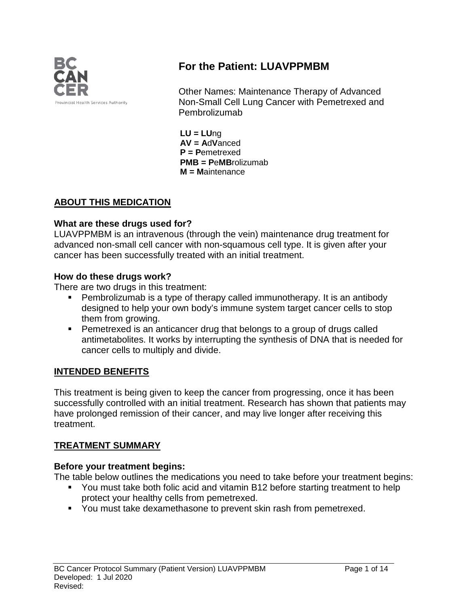

# **For the Patient: LUAVPPMBM**

Other Names: Maintenance Therapy of Advanced Non-Small Cell Lung Cancer with Pemetrexed and Pembrolizumab

**LU = LU**ng **AV = A**d**V**anced **P = P**emetrexed **PMB = P**e**MB**rolizumab **M = M**aintenance

### **ABOUT THIS MEDICATION**

### **What are these drugs used for?**

LUAVPPMBM is an intravenous (through the vein) maintenance drug treatment for advanced non-small cell cancer with non-squamous cell type. It is given after your cancer has been successfully treated with an initial treatment.

### **How do these drugs work?**

There are two drugs in this treatment:

- Pembrolizumab is a type of therapy called immunotherapy. It is an antibody designed to help your own body's immune system target cancer cells to stop them from growing.
- **Pemetrexed is an anticancer drug that belongs to a group of drugs called** antimetabolites. It works by interrupting the synthesis of DNA that is needed for cancer cells to multiply and divide.

## **INTENDED BENEFITS**

This treatment is being given to keep the cancer from progressing, once it has been successfully controlled with an initial treatment. Research has shown that patients may have prolonged remission of their cancer, and may live longer after receiving this treatment.

## **TREATMENT SUMMARY**

#### **Before your treatment begins:**

The table below outlines the medications you need to take before your treatment begins:

- You must take both folic acid and vitamin B12 before starting treatment to help protect your healthy cells from pemetrexed.
- You must take dexamethasone to prevent skin rash from pemetrexed.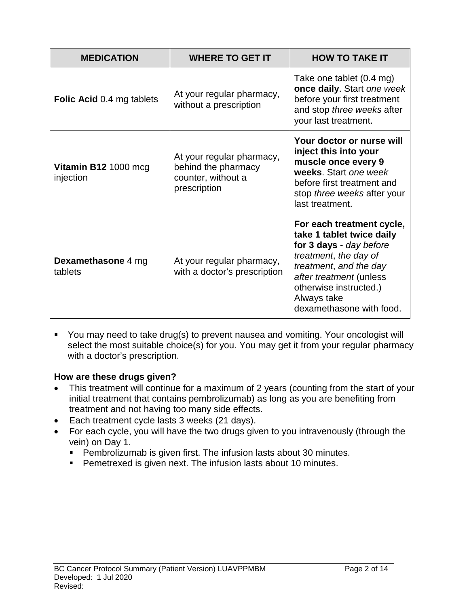| <b>MEDICATION</b>                 | <b>WHERE TO GET IT</b>                                                                 | <b>HOW TO TAKE IT</b>                                                                                                                                                                                                                |
|-----------------------------------|----------------------------------------------------------------------------------------|--------------------------------------------------------------------------------------------------------------------------------------------------------------------------------------------------------------------------------------|
| <b>Folic Acid 0.4 mg tablets</b>  | At your regular pharmacy,<br>without a prescription                                    | Take one tablet (0.4 mg)<br>once daily. Start one week<br>before your first treatment<br>and stop three weeks after<br>your last treatment.                                                                                          |
| Vitamin B12 1000 mcg<br>injection | At your regular pharmacy,<br>behind the pharmacy<br>counter, without a<br>prescription | Your doctor or nurse will<br>inject this into your<br>muscle once every 9<br>weeks. Start one week<br>before first treatment and<br>stop three weeks after your<br>last treatment.                                                   |
| Dexamethasone 4 mg<br>tablets     | At your regular pharmacy,<br>with a doctor's prescription                              | For each treatment cycle,<br>take 1 tablet twice daily<br>for 3 days - day before<br>treatment, the day of<br>treatment, and the day<br>after treatment (unless<br>otherwise instructed.)<br>Always take<br>dexamethasone with food. |

You may need to take drug(s) to prevent nausea and vomiting. Your oncologist will select the most suitable choice(s) for you. You may get it from your regular pharmacy with a doctor's prescription.

## **How are these drugs given?**

- This treatment will continue for a maximum of 2 years (counting from the start of your initial treatment that contains pembrolizumab) as long as you are benefiting from treatment and not having too many side effects.
- Each treatment cycle lasts 3 weeks (21 days).
- For each cycle, you will have the two drugs given to you intravenously (through the vein) on Day 1.
	- **Pembrolizumab is given first. The infusion lasts about 30 minutes.**
	- **Pemetrexed is given next. The infusion lasts about 10 minutes.**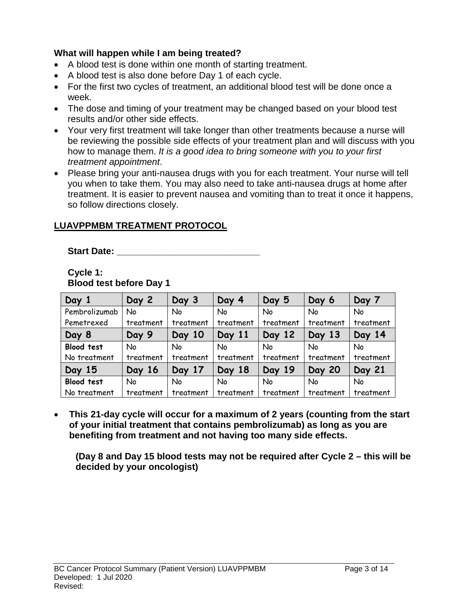### **What will happen while I am being treated?**

- A blood test is done within one month of starting treatment.
- A blood test is also done before Day 1 of each cycle.
- For the first two cycles of treatment, an additional blood test will be done once a week.
- The dose and timing of your treatment may be changed based on your blood test results and/or other side effects.
- Your very first treatment will take longer than other treatments because a nurse will be reviewing the possible side effects of your treatment plan and will discuss with you how to manage them. *It is a good idea to bring someone with you to your first treatment appointment*.
- Please bring your anti-nausea drugs with you for each treatment. Your nurse will tell you when to take them. You may also need to take anti-nausea drugs at home after treatment. It is easier to prevent nausea and vomiting than to treat it once it happens, so follow directions closely.

## **LUAVPPMBM TREATMENT PROTOCOL**

**Start Date: \_\_\_\_\_\_\_\_\_\_\_\_\_\_\_\_\_\_\_\_\_\_\_\_\_\_\_\_**

#### **Cycle 1: Blood test before Day 1**

| Day 1             | Day 2     | Day 3     | Day 4     | Day 5     | Day 6         | Day 7     |
|-------------------|-----------|-----------|-----------|-----------|---------------|-----------|
| Pembrolizumab     | No        | <b>No</b> | No        | <b>No</b> | No            | <b>No</b> |
| Pemetrexed        | treatment | treatment | treatment | treatment | treatment     | treatment |
| Day 8             | Day 9     | Day 10    | Day 11    | Day 12    | Day 13        | Day 14    |
| <b>Blood test</b> | No        | <b>No</b> | No        | No        | No            | No        |
| No treatment      | treatment | treatment | treatment | treatment | treatment     | treatment |
| Day 15            | Day 16    | Day 17    | Day 18    | Day 19    | <b>Day 20</b> | Day 21    |
| Blood test        | No        | <b>No</b> | No        | No        | No            | No        |
| No treatment      | treatment | treatment | treatment | treatment | treatment     | treatment |

• **This 21-day cycle will occur for a maximum of 2 years (counting from the start of your initial treatment that contains pembrolizumab) as long as you are benefiting from treatment and not having too many side effects.** 

**(Day 8 and Day 15 blood tests may not be required after Cycle 2 – this will be decided by your oncologist)**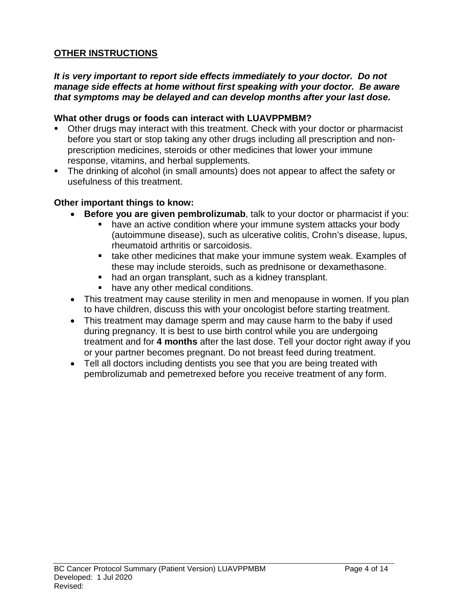## **OTHER INSTRUCTIONS**

#### *It is very important to report side effects immediately to your doctor. Do not manage side effects at home without first speaking with your doctor. Be aware that symptoms may be delayed and can develop months after your last dose.*

#### **What other drugs or foods can interact with LUAVPPMBM?**

- Other drugs may interact with this treatment. Check with your doctor or pharmacist before you start or stop taking any other drugs including all prescription and nonprescription medicines, steroids or other medicines that lower your immune response, vitamins, and herbal supplements.
- The drinking of alcohol (in small amounts) does not appear to affect the safety or usefulness of this treatment.

#### **Other important things to know:**

- **Before you are given pembrolizumab**, talk to your doctor or pharmacist if you:
	- have an active condition where your immune system attacks your body (autoimmune disease), such as ulcerative colitis, Crohn's disease, lupus, rheumatoid arthritis or sarcoidosis.
	- **take other medicines that make your immune system weak. Examples of** these may include steroids, such as prednisone or dexamethasone.
	- had an organ transplant, such as a kidney transplant.
	- **have any other medical conditions.**
- This treatment may cause sterility in men and menopause in women. If you plan to have children, discuss this with your oncologist before starting treatment.
- This treatment may damage sperm and may cause harm to the baby if used during pregnancy. It is best to use birth control while you are undergoing treatment and for **4 months** after the last dose. Tell your doctor right away if you or your partner becomes pregnant. Do not breast feed during treatment.
- Tell all doctors including dentists you see that you are being treated with pembrolizumab and pemetrexed before you receive treatment of any form.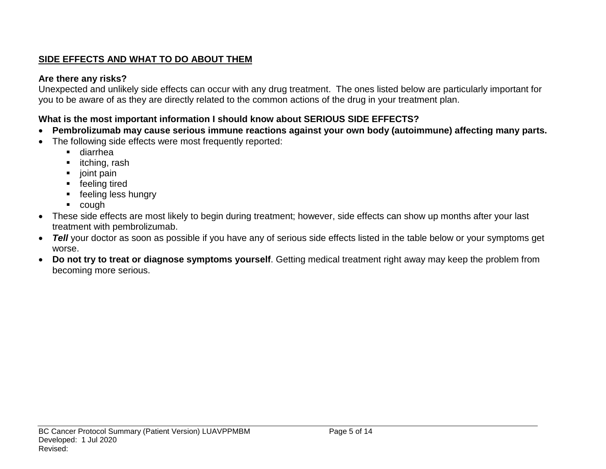## **SIDE EFFECTS AND WHAT TO DO ABOUT THEM**

## **Are there any risks?**

Unexpected and unlikely side effects can occur with any drug treatment. The ones listed below are particularly important for you to be aware of as they are directly related to the common actions of the drug in your treatment plan.

## **What is the most important information I should know about SERIOUS SIDE EFFECTS?**

- **Pembrolizumab may cause serious immune reactions against your own body (autoimmune) affecting many parts.**
- The following side effects were most frequently reported:
	- diarrhea
	- **·** itching, rash
	- joint pain
	- **F** feeling tired
	- **F** feeling less hungry
	- cough
- These side effects are most likely to begin during treatment; however, side effects can show up months after your last treatment with pembrolizumab.
- *Tell* your doctor as soon as possible if you have any of serious side effects listed in the table below or your symptoms get worse.
- **Do not try to treat or diagnose symptoms yourself**. Getting medical treatment right away may keep the problem from becoming more serious.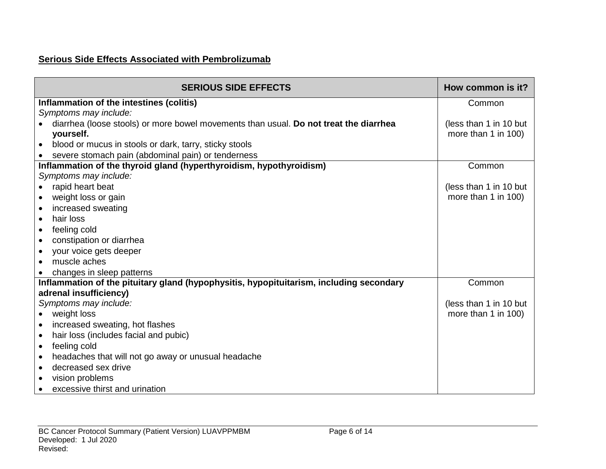## **Serious Side Effects Associated with Pembrolizumab**

| <b>SERIOUS SIDE EFFECTS</b>                                                             | How common is it?      |
|-----------------------------------------------------------------------------------------|------------------------|
| Inflammation of the intestines (colitis)                                                | Common                 |
| Symptoms may include:                                                                   |                        |
| diarrhea (loose stools) or more bowel movements than usual. Do not treat the diarrhea   | (less than 1 in 10 but |
| yourself.                                                                               | more than 1 in 100)    |
| blood or mucus in stools or dark, tarry, sticky stools<br>$\bullet$                     |                        |
| severe stomach pain (abdominal pain) or tenderness                                      |                        |
| Inflammation of the thyroid gland (hyperthyroidism, hypothyroidism)                     | Common                 |
| Symptoms may include:                                                                   |                        |
| rapid heart beat                                                                        | (less than 1 in 10 but |
| weight loss or gain<br>$\bullet$                                                        | more than 1 in 100)    |
| increased sweating<br>$\bullet$                                                         |                        |
| hair loss<br>$\bullet$                                                                  |                        |
| feeling cold<br>$\bullet$                                                               |                        |
| constipation or diarrhea<br>$\bullet$                                                   |                        |
| your voice gets deeper<br>$\bullet$                                                     |                        |
| muscle aches<br>$\bullet$                                                               |                        |
| changes in sleep patterns                                                               |                        |
| Inflammation of the pituitary gland (hypophysitis, hypopituitarism, including secondary | Common                 |
| adrenal insufficiency)                                                                  |                        |
| Symptoms may include:                                                                   | (less than 1 in 10 but |
| weight loss<br>$\bullet$                                                                | more than 1 in 100)    |
| increased sweating, hot flashes<br>$\bullet$                                            |                        |
| hair loss (includes facial and pubic)<br>$\bullet$                                      |                        |
| feeling cold<br>$\bullet$                                                               |                        |
| headaches that will not go away or unusual headache<br>$\bullet$                        |                        |
| decreased sex drive<br>$\bullet$                                                        |                        |
| vision problems<br>$\bullet$                                                            |                        |
| excessive thirst and urination                                                          |                        |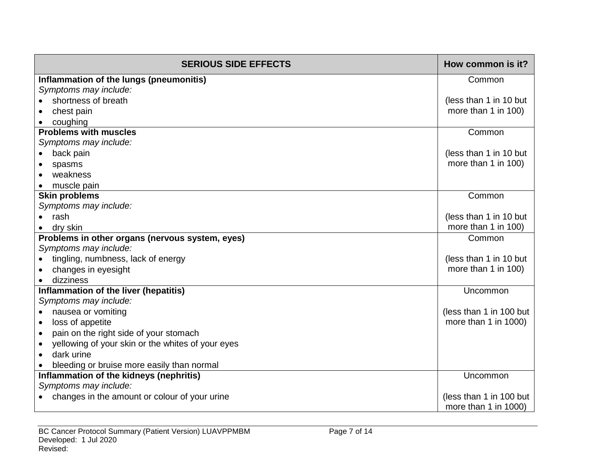| <b>SERIOUS SIDE EFFECTS</b>                         | How common is it?       |
|-----------------------------------------------------|-------------------------|
| Inflammation of the lungs (pneumonitis)             | Common                  |
| Symptoms may include:                               |                         |
| shortness of breath                                 | (less than 1 in 10 but  |
| chest pain                                          | more than 1 in 100)     |
| coughing                                            |                         |
| <b>Problems with muscles</b>                        | Common                  |
| Symptoms may include:                               |                         |
| back pain                                           | (less than 1 in 10 but  |
| spasms                                              | more than 1 in 100)     |
| weakness                                            |                         |
| muscle pain                                         |                         |
| <b>Skin problems</b>                                | Common                  |
| Symptoms may include:                               |                         |
| rash                                                | (less than 1 in 10 but  |
| dry skin                                            | more than 1 in 100)     |
| Problems in other organs (nervous system, eyes)     | Common                  |
| Symptoms may include:                               |                         |
| tingling, numbness, lack of energy                  | (less than 1 in 10 but  |
| changes in eyesight<br>dizziness                    | more than 1 in 100)     |
| Inflammation of the liver (hepatitis)               | Uncommon                |
| Symptoms may include:                               |                         |
| nausea or vomiting<br>$\bullet$                     | (less than 1 in 100 but |
| loss of appetite                                    | more than 1 in 1000)    |
| pain on the right side of your stomach<br>$\bullet$ |                         |
| yellowing of your skin or the whites of your eyes   |                         |
| dark urine                                          |                         |
| bleeding or bruise more easily than normal          |                         |
| Inflammation of the kidneys (nephritis)             | Uncommon                |
| Symptoms may include:                               |                         |
| changes in the amount or colour of your urine       | (less than 1 in 100 but |
|                                                     | more than 1 in 1000)    |
|                                                     |                         |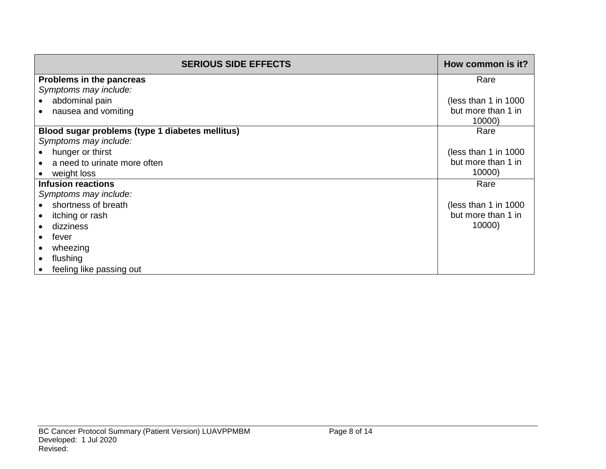| <b>SERIOUS SIDE EFFECTS</b>                     | How common is it?     |
|-------------------------------------------------|-----------------------|
| Problems in the pancreas                        | Rare                  |
| Symptoms may include:                           |                       |
| abdominal pain                                  | (less than 1 in 1000) |
| nausea and vomiting                             | but more than 1 in    |
|                                                 | 10000)                |
| Blood sugar problems (type 1 diabetes mellitus) | Rare                  |
| Symptoms may include:                           |                       |
| hunger or thirst                                | (less than 1 in 1000  |
| a need to urinate more often                    | but more than 1 in    |
| weight loss                                     | 10000)                |
| <b>Infusion reactions</b>                       | Rare                  |
| Symptoms may include:                           |                       |
| shortness of breath                             | (less than 1 in 1000) |
| itching or rash                                 | but more than 1 in    |
| dizziness                                       | 10000)                |
| fever                                           |                       |
| wheezing                                        |                       |
| flushing                                        |                       |
| feeling like passing out                        |                       |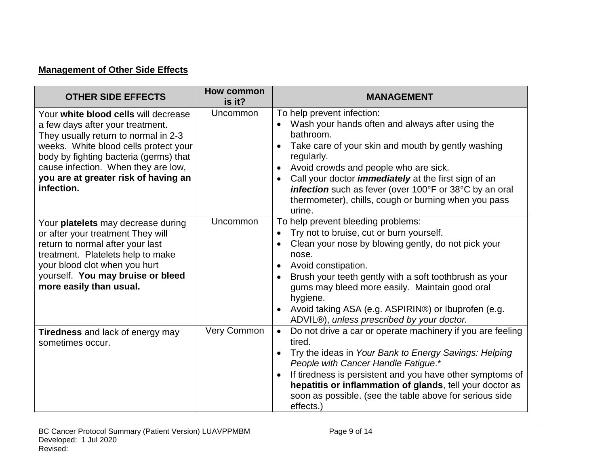## **Management of Other Side Effects**

| <b>OTHER SIDE EFFECTS</b>                                                                                                                                                                                                                                                                        | <b>How common</b><br>is it? | <b>MANAGEMENT</b>                                                                                                                                                                                                                                                                                                                                                                                   |
|--------------------------------------------------------------------------------------------------------------------------------------------------------------------------------------------------------------------------------------------------------------------------------------------------|-----------------------------|-----------------------------------------------------------------------------------------------------------------------------------------------------------------------------------------------------------------------------------------------------------------------------------------------------------------------------------------------------------------------------------------------------|
| Your white blood cells will decrease<br>a few days after your treatment.<br>They usually return to normal in 2-3<br>weeks. White blood cells protect your<br>body by fighting bacteria (germs) that<br>cause infection. When they are low,<br>you are at greater risk of having an<br>infection. | Uncommon                    | To help prevent infection:<br>Wash your hands often and always after using the<br>bathroom.<br>Take care of your skin and mouth by gently washing<br>regularly.<br>Avoid crowds and people who are sick.<br>Call your doctor <i>immediately</i> at the first sign of an<br>infection such as fever (over 100°F or 38°C by an oral<br>thermometer), chills, cough or burning when you pass<br>urine. |
| Your platelets may decrease during<br>or after your treatment They will<br>return to normal after your last<br>treatment. Platelets help to make<br>your blood clot when you hurt<br>yourself. You may bruise or bleed<br>more easily than usual.                                                | Uncommon                    | To help prevent bleeding problems:<br>Try not to bruise, cut or burn yourself.<br>Clean your nose by blowing gently, do not pick your<br>nose.<br>Avoid constipation.<br>Brush your teeth gently with a soft toothbrush as your<br>gums may bleed more easily. Maintain good oral<br>hygiene.<br>Avoid taking ASA (e.g. ASPIRIN®) or Ibuprofen (e.g.<br>ADVIL®), unless prescribed by your doctor.  |
| <b>Tiredness</b> and lack of energy may<br>sometimes occur.                                                                                                                                                                                                                                      | Very Common                 | Do not drive a car or operate machinery if you are feeling<br>$\bullet$<br>tired.<br>Try the ideas in Your Bank to Energy Savings: Helping<br>People with Cancer Handle Fatigue.*<br>If tiredness is persistent and you have other symptoms of<br>hepatitis or inflammation of glands, tell your doctor as<br>soon as possible. (see the table above for serious side<br>effects.)                  |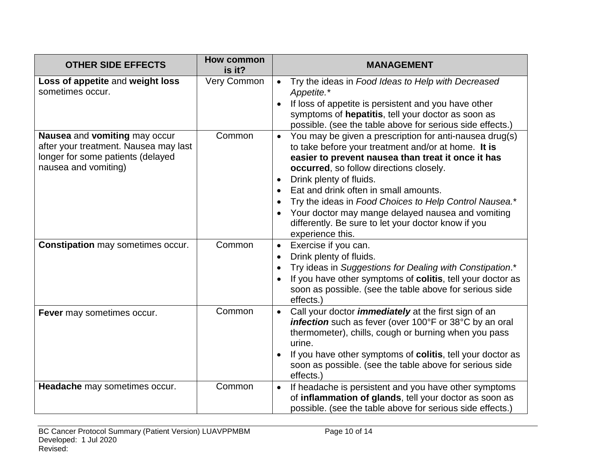| <b>OTHER SIDE EFFECTS</b>                                                                                                           | <b>How common</b><br>is it? | <b>MANAGEMENT</b>                                                                                                                                                                                                                                                                                                                                                                                                                                                                                       |
|-------------------------------------------------------------------------------------------------------------------------------------|-----------------------------|---------------------------------------------------------------------------------------------------------------------------------------------------------------------------------------------------------------------------------------------------------------------------------------------------------------------------------------------------------------------------------------------------------------------------------------------------------------------------------------------------------|
| Loss of appetite and weight loss<br>sometimes occur.                                                                                | Very Common                 | Try the ideas in Food Ideas to Help with Decreased<br>$\bullet$<br>Appetite.*<br>If loss of appetite is persistent and you have other<br>symptoms of hepatitis, tell your doctor as soon as<br>possible. (see the table above for serious side effects.)                                                                                                                                                                                                                                                |
| Nausea and vomiting may occur<br>after your treatment. Nausea may last<br>longer for some patients (delayed<br>nausea and vomiting) | Common                      | You may be given a prescription for anti-nausea drug(s)<br>$\bullet$<br>to take before your treatment and/or at home. It is<br>easier to prevent nausea than treat it once it has<br>occurred, so follow directions closely.<br>Drink plenty of fluids.<br>Eat and drink often in small amounts.<br>Try the ideas in Food Choices to Help Control Nausea.*<br>$\bullet$<br>Your doctor may mange delayed nausea and vomiting<br>differently. Be sure to let your doctor know if you<br>experience this. |
| <b>Constipation</b> may sometimes occur.                                                                                            | Common                      | Exercise if you can.<br>$\bullet$<br>Drink plenty of fluids.<br>$\bullet$<br>Try ideas in Suggestions for Dealing with Constipation.*<br>If you have other symptoms of colitis, tell your doctor as<br>soon as possible. (see the table above for serious side<br>effects.)                                                                                                                                                                                                                             |
| Fever may sometimes occur.                                                                                                          | Common                      | Call your doctor <i>immediately</i> at the first sign of an<br>$\bullet$<br>infection such as fever (over 100°F or 38°C by an oral<br>thermometer), chills, cough or burning when you pass<br>urine.<br>If you have other symptoms of colitis, tell your doctor as<br>soon as possible. (see the table above for serious side<br>effects.)                                                                                                                                                              |
| Headache may sometimes occur.                                                                                                       | Common                      | If headache is persistent and you have other symptoms<br>$\bullet$<br>of inflammation of glands, tell your doctor as soon as<br>possible. (see the table above for serious side effects.)                                                                                                                                                                                                                                                                                                               |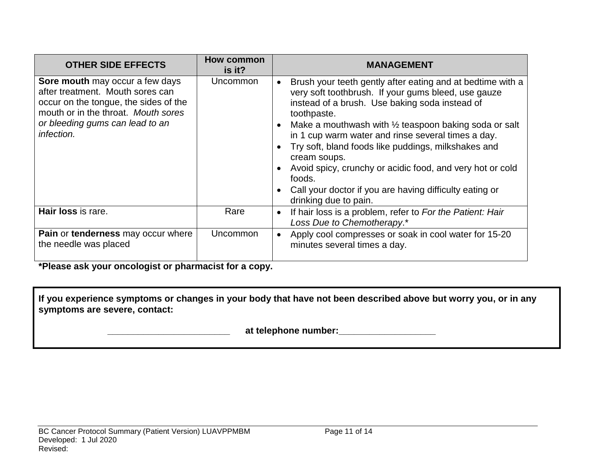| <b>OTHER SIDE EFFECTS</b>                                                                                                                                                                            | How common<br>is it? | <b>MANAGEMENT</b>                                                                                                                                                                                                                                                                                                                                                                                                                                                                                                                    |
|------------------------------------------------------------------------------------------------------------------------------------------------------------------------------------------------------|----------------------|--------------------------------------------------------------------------------------------------------------------------------------------------------------------------------------------------------------------------------------------------------------------------------------------------------------------------------------------------------------------------------------------------------------------------------------------------------------------------------------------------------------------------------------|
| Sore mouth may occur a few days<br>after treatment. Mouth sores can<br>occur on the tongue, the sides of the<br>mouth or in the throat. Mouth sores<br>or bleeding gums can lead to an<br>infection. | Uncommon             | Brush your teeth gently after eating and at bedtime with a<br>very soft toothbrush. If your gums bleed, use gauze<br>instead of a brush. Use baking soda instead of<br>toothpaste.<br>Make a mouthwash with 1/2 teaspoon baking soda or salt<br>in 1 cup warm water and rinse several times a day.<br>Try soft, bland foods like puddings, milkshakes and<br>cream soups.<br>Avoid spicy, crunchy or acidic food, and very hot or cold<br>foods.<br>Call your doctor if you are having difficulty eating or<br>drinking due to pain. |
| Hair loss is rare.                                                                                                                                                                                   | Rare                 | If hair loss is a problem, refer to For the Patient: Hair<br>Loss Due to Chemotherapy.*                                                                                                                                                                                                                                                                                                                                                                                                                                              |
| Pain or tenderness may occur where<br>the needle was placed                                                                                                                                          | <b>Uncommon</b>      | Apply cool compresses or soak in cool water for 15-20<br>minutes several times a day.                                                                                                                                                                                                                                                                                                                                                                                                                                                |

**\*Please ask your oncologist or pharmacist for a copy.**

**If you experience symptoms or changes in your body that have not been described above but worry you, or in any symptoms are severe, contact:**

 **\_\_\_\_\_\_\_\_\_\_\_\_\_\_\_\_\_\_\_\_\_\_\_\_ at telephone number:\_\_\_\_\_\_\_\_\_\_\_\_\_\_\_\_\_\_\_**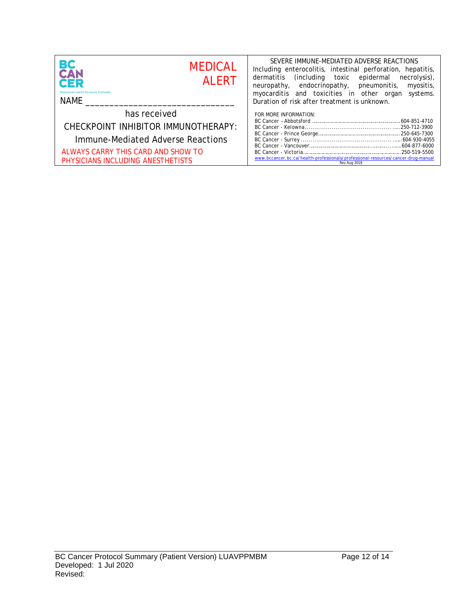| <b>BC</b><br>CAN<br><b>MEDICAL</b><br><b>AI FRT</b><br><b>CER</b><br><b>Provincial Health Services Authority</b><br>NAME | SEVERE IMMUNE-MEDIATED ADVERSE REACTIONS<br>Including enterocolitis, intestinal perforation, hepatitis,<br>(including toxic epidermal necrolysis),<br>dermatitis<br>neuropathy, endocrinopathy, pneumonitis, myositis,<br>myocarditis and toxicities in other organ<br>Duration of risk after treatment is unknown. | systems. |
|--------------------------------------------------------------------------------------------------------------------------|---------------------------------------------------------------------------------------------------------------------------------------------------------------------------------------------------------------------------------------------------------------------------------------------------------------------|----------|
| has received                                                                                                             | FOR MORE INFORMATION:                                                                                                                                                                                                                                                                                               |          |
| CHECKPOINT INHIBITOR IMMUNOTHERAPY:                                                                                      |                                                                                                                                                                                                                                                                                                                     |          |
| Immune-Mediated Adverse Reactions                                                                                        |                                                                                                                                                                                                                                                                                                                     |          |
| ALWAYS CARRY THIS CARD AND SHOW TO                                                                                       |                                                                                                                                                                                                                                                                                                                     |          |
| PHYSICIANS INCLUDING ANESTHETISTS                                                                                        | www.bccancer.bc.ca/health-professionals/professional-resources/cancer-drug-manual<br>Rev Aug 2018                                                                                                                                                                                                                   |          |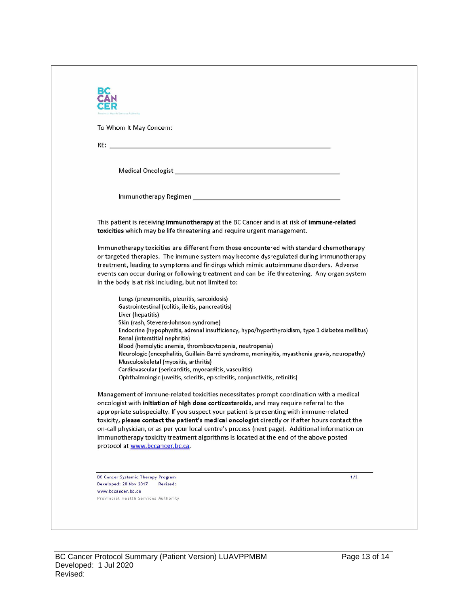| Immunotherapy Regimen<br>This patient is receiving immunotherapy at the BC Cancer and is at risk of immune-related<br>toxicities which may be life threatening and require urgent management.<br>Immunotherapy toxicities are different from those encountered with standard chemotherapy<br>or targeted therapies. The immune system may become dysregulated during immunotherapy<br>treatment, leading to symptoms and findings which mimic autoimmune disorders. Adverse<br>events can occur during or following treatment and can be life threatening. Any organ system<br>in the body is at risk including, but not limited to:<br>Lungs (pneumonitis, pleuritis, sarcoidosis)<br>Gastrointestinal (colitis, ileitis, pancreatitis)<br>Liver (hepatitis)<br>Skin (rash, Stevens-Johnson syndrome)<br>Endocrine (hypophysitis, adrenal insufficiency, hypo/hyperthyroidism, type 1 diabetes mellitus)<br>Renal (interstitial nephritis)<br>Blood (hemolytic anemia, thrombocytopenia, neutropenia)<br>Neurologic (encephalitis, Guillain-Barré syndrome, meningitis, myasthenia gravis, neuropathy)<br>Musculoskeletal (myositis, arthritis)<br>Cardiovascular (pericarditis, myocarditis, vasculitis)<br>Ophthalmologic (uveitis, scleritis, episcleritis, conjunctivitis, retinitis)<br>Management of immune-related toxicities necessitates prompt coordination with a medical<br>oncologist with initiation of high dose corticosteroids, and may require referral to the<br>appropriate subspecialty. If you suspect your patient is presenting with immune-related<br>toxicity, please contact the patient's medical oncologist directly or if after hours contact the<br>on-call physician, or as per your local centre's process (next page). Additional information on<br>immunotherapy toxicity treatment algorithms is located at the end of the above posted | To Whom It May Concern: |  |
|------------------------------------------------------------------------------------------------------------------------------------------------------------------------------------------------------------------------------------------------------------------------------------------------------------------------------------------------------------------------------------------------------------------------------------------------------------------------------------------------------------------------------------------------------------------------------------------------------------------------------------------------------------------------------------------------------------------------------------------------------------------------------------------------------------------------------------------------------------------------------------------------------------------------------------------------------------------------------------------------------------------------------------------------------------------------------------------------------------------------------------------------------------------------------------------------------------------------------------------------------------------------------------------------------------------------------------------------------------------------------------------------------------------------------------------------------------------------------------------------------------------------------------------------------------------------------------------------------------------------------------------------------------------------------------------------------------------------------------------------------------------------------------------------------------------------------------------------------------------------------|-------------------------|--|
|                                                                                                                                                                                                                                                                                                                                                                                                                                                                                                                                                                                                                                                                                                                                                                                                                                                                                                                                                                                                                                                                                                                                                                                                                                                                                                                                                                                                                                                                                                                                                                                                                                                                                                                                                                                                                                                                              |                         |  |
|                                                                                                                                                                                                                                                                                                                                                                                                                                                                                                                                                                                                                                                                                                                                                                                                                                                                                                                                                                                                                                                                                                                                                                                                                                                                                                                                                                                                                                                                                                                                                                                                                                                                                                                                                                                                                                                                              |                         |  |
|                                                                                                                                                                                                                                                                                                                                                                                                                                                                                                                                                                                                                                                                                                                                                                                                                                                                                                                                                                                                                                                                                                                                                                                                                                                                                                                                                                                                                                                                                                                                                                                                                                                                                                                                                                                                                                                                              |                         |  |
|                                                                                                                                                                                                                                                                                                                                                                                                                                                                                                                                                                                                                                                                                                                                                                                                                                                                                                                                                                                                                                                                                                                                                                                                                                                                                                                                                                                                                                                                                                                                                                                                                                                                                                                                                                                                                                                                              |                         |  |
|                                                                                                                                                                                                                                                                                                                                                                                                                                                                                                                                                                                                                                                                                                                                                                                                                                                                                                                                                                                                                                                                                                                                                                                                                                                                                                                                                                                                                                                                                                                                                                                                                                                                                                                                                                                                                                                                              |                         |  |
|                                                                                                                                                                                                                                                                                                                                                                                                                                                                                                                                                                                                                                                                                                                                                                                                                                                                                                                                                                                                                                                                                                                                                                                                                                                                                                                                                                                                                                                                                                                                                                                                                                                                                                                                                                                                                                                                              |                         |  |
|                                                                                                                                                                                                                                                                                                                                                                                                                                                                                                                                                                                                                                                                                                                                                                                                                                                                                                                                                                                                                                                                                                                                                                                                                                                                                                                                                                                                                                                                                                                                                                                                                                                                                                                                                                                                                                                                              |                         |  |
| protocol at www.bccancer.bc.ca.                                                                                                                                                                                                                                                                                                                                                                                                                                                                                                                                                                                                                                                                                                                                                                                                                                                                                                                                                                                                                                                                                                                                                                                                                                                                                                                                                                                                                                                                                                                                                                                                                                                                                                                                                                                                                                              |                         |  |